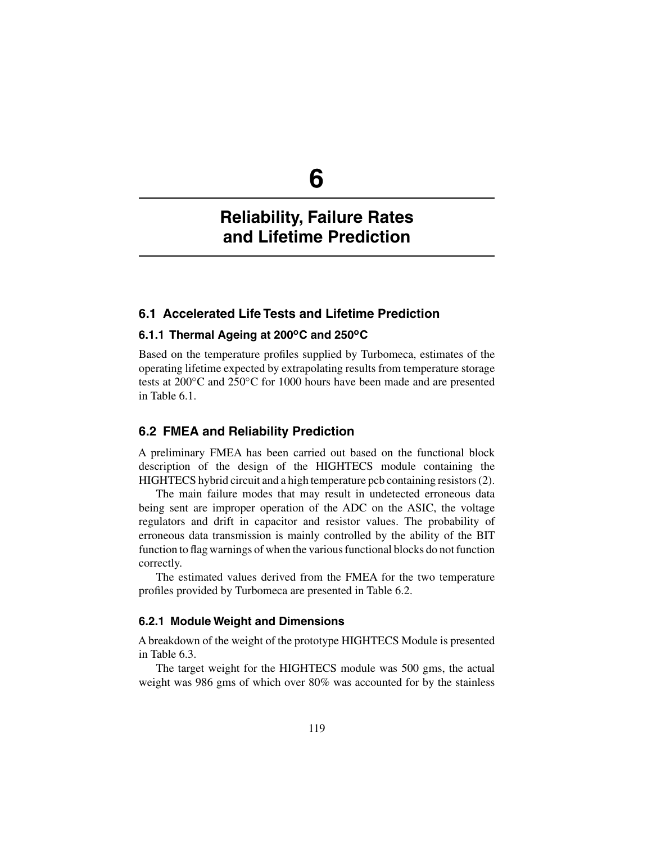**6**

# **Reliability, Failure Rates and Lifetime Prediction**

## **6.1 Accelerated Life Tests and Lifetime Prediction**

## **6.1.1 Thermal Ageing at 200oC and 250oC**

Based on the temperature profiles supplied by Turbomeca, estimates of the operating lifetime expected by extrapolating results from temperature storage tests at 200◦C and 250◦C for 1000 hours have been made and are presented in Table 6.1.

## **6.2 FMEA and Reliability Prediction**

A preliminary FMEA has been carried out based on the functional block description of the design of the HIGHTECS module containing the HIGHTECS hybrid circuit and a high temperature pcb containing resistors (2).

The main failure modes that may result in undetected erroneous data being sent are improper operation of the ADC on the ASIC, the voltage regulators and drift in capacitor and resistor values. The probability of erroneous data transmission is mainly controlled by the ability of the BIT function to flag warnings of when the various functional blocks do not function correctly.

The estimated values derived from the FMEA for the two temperature profiles provided by Turbomeca are presented in Table 6.2.

### **6.2.1 Module Weight and Dimensions**

A breakdown of the weight of the prototype HIGHTECS Module is presented in Table 6.3.

The target weight for the HIGHTECS module was 500 gms, the actual weight was 986 gms of which over 80% was accounted for by the stainless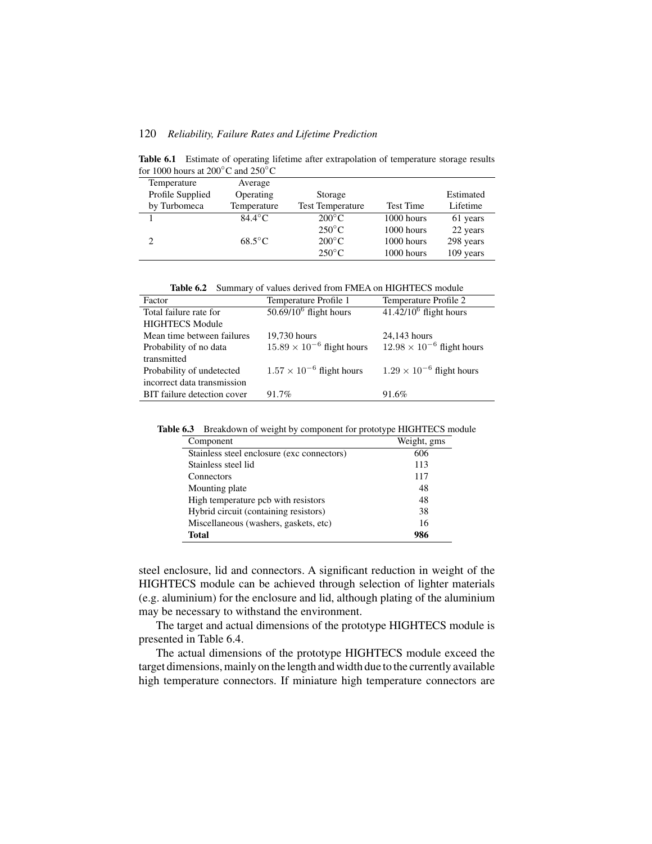Table 6.1 Estimate of operating lifetime after extrapolation of temperature storage results for 1000 hours at 200◦C and 250◦C

| Temperature                   | Average          |                         |            |           |
|-------------------------------|------------------|-------------------------|------------|-----------|
| Profile Supplied              | Operating        | Storage                 |            | Estimated |
| by Turbomeca                  | Temperature      | <b>Test Temperature</b> | Test Time  | Lifetime  |
|                               | $84.4^{\circ}$ C | $200^{\circ}$ C         | 1000 hours | 61 years  |
|                               |                  | $250^{\circ}$ C         | 1000 hours | 22 years  |
| $\mathfrak{D}_{\mathfrak{p}}$ | $68.5^{\circ}$ C | $200^{\circ}$ C         | 1000 hours | 298 years |
|                               |                  | $250^{\circ}$ C         | 1000 hours | 109 years |

**Table 6.2** Summary of values derived from FMEA on HIGHTECS module

| Factor                      | Temperature Profile 1               | Temperature Profile 2               |
|-----------------------------|-------------------------------------|-------------------------------------|
| Total failure rate for      | $50.69/10^6$ flight hours           | $41.42/10^6$ flight hours           |
| <b>HIGHTECS Module</b>      |                                     |                                     |
| Mean time between failures  | 19,730 hours                        | 24,143 hours                        |
| Probability of no data      | $15.89 \times 10^{-6}$ flight hours | $12.98 \times 10^{-6}$ flight hours |
| transmitted                 |                                     |                                     |
| Probability of undetected   | $1.57 \times 10^{-6}$ flight hours  | $1.29 \times 10^{-6}$ flight hours  |
| incorrect data transmission |                                     |                                     |
| BIT failure detection cover | 91.7%                               | 91.6%                               |

**Table 6.3** Breakdown of weight by component for prototype HIGHTECS module

| Component                                  | Weight, gms |
|--------------------------------------------|-------------|
| Stainless steel enclosure (exc connectors) | 606         |
| Stainless steel lid                        | 113         |
| Connectors                                 | 117         |
| Mounting plate                             | 48          |
| High temperature pcb with resistors        | 48          |
| Hybrid circuit (containing resistors)      | 38          |
| Miscellaneous (washers, gaskets, etc)      | 16          |
| <b>Total</b>                               | 986         |

steel enclosure, lid and connectors. A significant reduction in weight of the HIGHTECS module can be achieved through selection of lighter materials (e.g. aluminium) for the enclosure and lid, although plating of the aluminium may be necessary to withstand the environment.

The target and actual dimensions of the prototype HIGHTECS module is presented in Table 6.4.

The actual dimensions of the prototype HIGHTECS module exceed the target dimensions, mainly on the length and width due to the currently available high temperature connectors. If miniature high temperature connectors are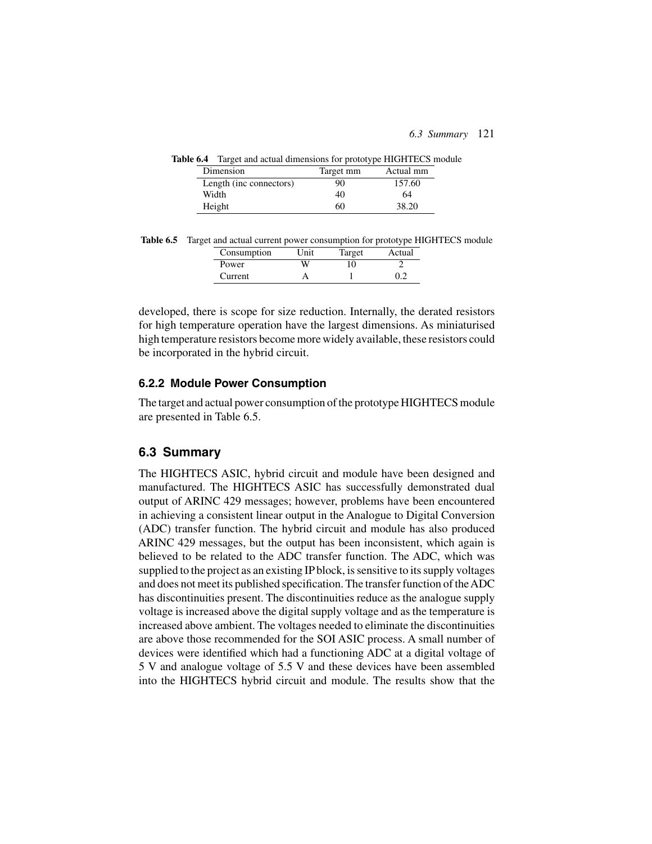| $\alpha$ or $\alpha$ ranger and actual uniformation for prototype information in |           |           |
|----------------------------------------------------------------------------------|-----------|-----------|
| Dimension                                                                        | Target mm | Actual mm |
| Length (inc connectors)                                                          | 90        | 157.60    |
| Width                                                                            | 40        | 64        |
| Height                                                                           | 60        | 38.20     |

**Table 6.4** Target and actual dimensions for prototype HIGHTECS module

|  |  |  |                                 |  |  | Table 6.5 Target and actual current power consumption for prototype HIGHTECS module |  |
|--|--|--|---------------------------------|--|--|-------------------------------------------------------------------------------------|--|
|  |  |  | Concumption Unit Terrart Actual |  |  |                                                                                     |  |

| Init | Target | Actual |
|------|--------|--------|
|      |        |        |
|      |        |        |
|      |        |        |

developed, there is scope for size reduction. Internally, the derated resistors for high temperature operation have the largest dimensions. As miniaturised high temperature resistors become more widely available, these resistors could be incorporated in the hybrid circuit.

#### **6.2.2 Module Power Consumption**

The target and actual power consumption of the prototype HIGHTECS module are presented in Table 6.5.

# **6.3 Summary**

The HIGHTECS ASIC, hybrid circuit and module have been designed and manufactured. The HIGHTECS ASIC has successfully demonstrated dual output of ARINC 429 messages; however, problems have been encountered in achieving a consistent linear output in the Analogue to Digital Conversion (ADC) transfer function. The hybrid circuit and module has also produced ARINC 429 messages, but the output has been inconsistent, which again is believed to be related to the ADC transfer function. The ADC, which was supplied to the project as an existing IP block, is sensitive to its supply voltages and does not meet its published specification. The transfer function of theADC has discontinuities present. The discontinuities reduce as the analogue supply voltage is increased above the digital supply voltage and as the temperature is increased above ambient. The voltages needed to eliminate the discontinuities are above those recommended for the SOI ASIC process. A small number of devices were identified which had a functioning ADC at a digital voltage of 5 V and analogue voltage of 5.5 V and these devices have been assembled into the HIGHTECS hybrid circuit and module. The results show that the